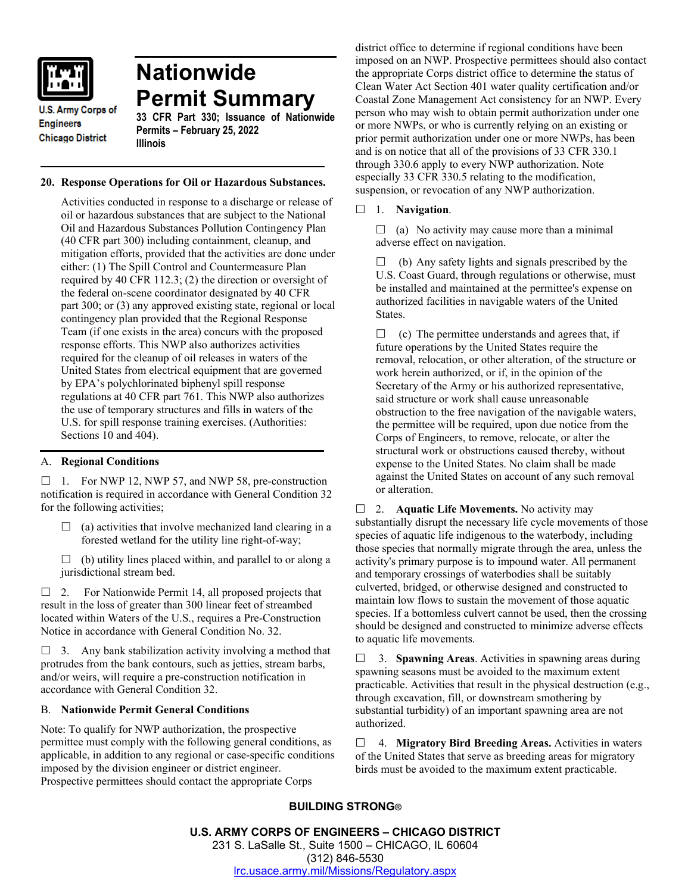

# **Nationwide Permit Summary**

**U.S. Army Corps of Engineers Chicago District** 

**33 CFR Part 330; Issuance of Nationwide Permits – February 25, 2022 Illinois**

# **20. Response Operations for Oil or Hazardous Substances.**

Activities conducted in response to a discharge or release of oil or hazardous substances that are subject to the National Oil and Hazardous Substances Pollution Contingency Plan (40 CFR part 300) including containment, cleanup, and mitigation efforts, provided that the activities are done under either: (1) The Spill Control and Countermeasure Plan required by 40 CFR 112.3; (2) the direction or oversight of the federal on-scene coordinator designated by 40 CFR part 300; or (3) any approved existing state, regional or local contingency plan provided that the Regional Response Team (if one exists in the area) concurs with the proposed response efforts. This NWP also authorizes activities required for the cleanup of oil releases in waters of the United States from electrical equipment that are governed by EPA's polychlorinated biphenyl spill response regulations at 40 CFR part 761. This NWP also authorizes the use of temporary structures and fills in waters of the U.S. for spill response training exercises. (Authorities: Sections 10 and 404).

# A. **Regional Conditions**

 $\Box$  1. For NWP 12, NWP 57, and NWP 58, pre-construction notification is required in accordance with General Condition 32 for the following activities;

- $\Box$  (a) activities that involve mechanized land clearing in a forested wetland for the utility line right-of-way;
- $\Box$  (b) utility lines placed within, and parallel to or along a jurisdictional stream bed.

 $\Box$  2. For Nationwide Permit 14, all proposed projects that result in the loss of greater than 300 linear feet of streambed located within Waters of the U.S., requires a Pre-Construction Notice in accordance with General Condition No. 32.

 $\Box$  3. Any bank stabilization activity involving a method that protrudes from the bank contours, such as jetties, stream barbs, and/or weirs, will require a pre-construction notification in accordance with General Condition 32.

# B. **Nationwide Permit General Conditions**

Note: To qualify for NWP authorization, the prospective permittee must comply with the following general conditions, as applicable, in addition to any regional or case-specific conditions imposed by the division engineer or district engineer. Prospective permittees should contact the appropriate Corps

district office to determine if regional conditions have been imposed on an NWP. Prospective permittees should also contact the appropriate Corps district office to determine the status of Clean Water Act Section 401 water quality certification and/or Coastal Zone Management Act consistency for an NWP. Every person who may wish to obtain permit authorization under one or more NWPs, or who is currently relying on an existing or prior permit authorization under one or more NWPs, has been and is on notice that all of the provisions of 33 CFR 330.1 through 330.6 apply to every NWP authorization. Note especially 33 CFR 330.5 relating to the modification, suspension, or revocation of any NWP authorization.

## 1. **Navigation**.

 $\Box$  (a) No activity may cause more than a minimal adverse effect on navigation.

 $\Box$  (b) Any safety lights and signals prescribed by the U.S. Coast Guard, through regulations or otherwise, must be installed and maintained at the permittee's expense on authorized facilities in navigable waters of the United States.

 $\Box$  (c) The permittee understands and agrees that, if future operations by the United States require the removal, relocation, or other alteration, of the structure or work herein authorized, or if, in the opinion of the Secretary of the Army or his authorized representative, said structure or work shall cause unreasonable obstruction to the free navigation of the navigable waters, the permittee will be required, upon due notice from the Corps of Engineers, to remove, relocate, or alter the structural work or obstructions caused thereby, without expense to the United States. No claim shall be made against the United States on account of any such removal or alteration.

□ 2. **Aquatic Life Movements.** No activity may substantially disrupt the necessary life cycle movements of those species of aquatic life indigenous to the waterbody, including those species that normally migrate through the area, unless the activity's primary purpose is to impound water. All permanent and temporary crossings of waterbodies shall be suitably culverted, bridged, or otherwise designed and constructed to maintain low flows to sustain the movement of those aquatic species. If a bottomless culvert cannot be used, then the crossing should be designed and constructed to minimize adverse effects to aquatic life movements.

 3. **Spawning Areas**. Activities in spawning areas during spawning seasons must be avoided to the maximum extent practicable. Activities that result in the physical destruction (e.g., through excavation, fill, or downstream smothering by substantial turbidity) of an important spawning area are not authorized.

 4. **Migratory Bird Breeding Areas.** Activities in waters of the United States that serve as breeding areas for migratory birds must be avoided to the maximum extent practicable.

# **BUILDING STRONG®**

**U.S. ARMY CORPS OF ENGINEERS – CHICAGO DISTRICT** 231 S. LaSalle St., Suite 1500 – CHICAGO, IL 60604 (312) 846-5530 [lrc.usace.army.mil/Missions/Regulatory.aspx](https://www.lrc.usace.army.mil/Missions/Regulatory.aspx)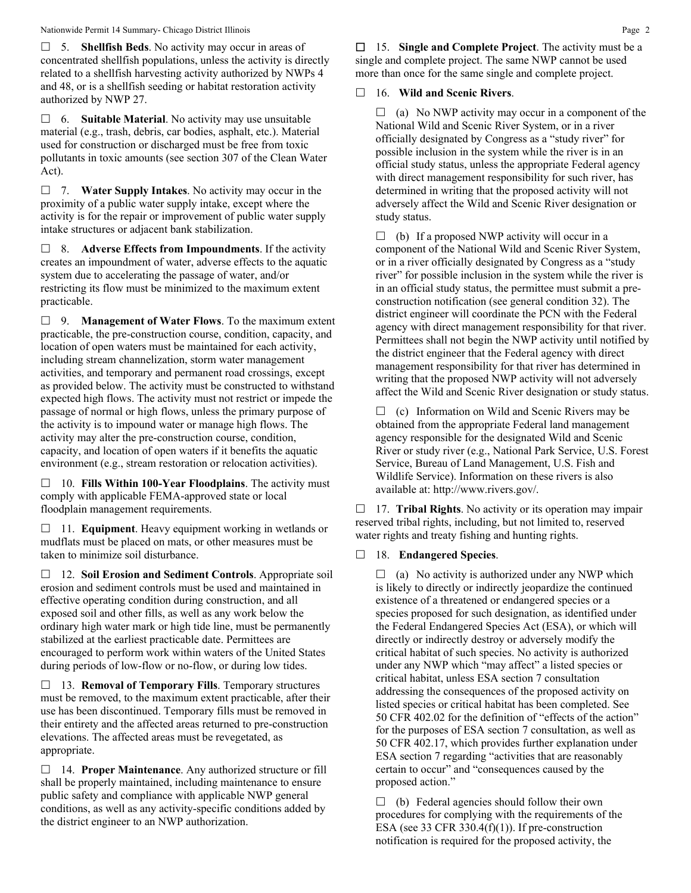5. **Shellfish Beds**. No activity may occur in areas of concentrated shellfish populations, unless the activity is directly related to a shellfish harvesting activity authorized by NWPs 4 and 48, or is a shellfish seeding or habitat restoration activity authorized by NWP 27.

 6. **Suitable Material**. No activity may use unsuitable material (e.g., trash, debris, car bodies, asphalt, etc.). Material used for construction or discharged must be free from toxic pollutants in toxic amounts (see section 307 of the Clean Water Act).

 7. **Water Supply Intakes**. No activity may occur in the proximity of a public water supply intake, except where the activity is for the repair or improvement of public water supply intake structures or adjacent bank stabilization.

 8. **Adverse Effects from Impoundments**. If the activity creates an impoundment of water, adverse effects to the aquatic system due to accelerating the passage of water, and/or restricting its flow must be minimized to the maximum extent practicable.

 9. **Management of Water Flows**. To the maximum extent practicable, the pre-construction course, condition, capacity, and location of open waters must be maintained for each activity, including stream channelization, storm water management activities, and temporary and permanent road crossings, except as provided below. The activity must be constructed to withstand expected high flows. The activity must not restrict or impede the passage of normal or high flows, unless the primary purpose of the activity is to impound water or manage high flows. The activity may alter the pre-construction course, condition, capacity, and location of open waters if it benefits the aquatic environment (e.g., stream restoration or relocation activities).

 10. **Fills Within 100-Year Floodplains**. The activity must comply with applicable FEMA-approved state or local floodplain management requirements.

□ 11. **Equipment**. Heavy equipment working in wetlands or mudflats must be placed on mats, or other measures must be taken to minimize soil disturbance.

 12. **Soil Erosion and Sediment Controls**. Appropriate soil erosion and sediment controls must be used and maintained in effective operating condition during construction, and all exposed soil and other fills, as well as any work below the ordinary high water mark or high tide line, must be permanently stabilized at the earliest practicable date. Permittees are encouraged to perform work within waters of the United States during periods of low-flow or no-flow, or during low tides.

 13. **Removal of Temporary Fills**. Temporary structures must be removed, to the maximum extent practicable, after their use has been discontinued. Temporary fills must be removed in their entirety and the affected areas returned to pre-construction elevations. The affected areas must be revegetated, as appropriate.

 14. **Proper Maintenance**. Any authorized structure or fill shall be properly maintained, including maintenance to ensure public safety and compliance with applicable NWP general conditions, as well as any activity-specific conditions added by the district engineer to an NWP authorization.

 15. **Single and Complete Project**. The activity must be a single and complete project. The same NWP cannot be used more than once for the same single and complete project.

# 16. **Wild and Scenic Rivers**.

 $\Box$  (a) No NWP activity may occur in a component of the National Wild and Scenic River System, or in a river officially designated by Congress as a "study river" for possible inclusion in the system while the river is in an official study status, unless the appropriate Federal agency with direct management responsibility for such river, has determined in writing that the proposed activity will not adversely affect the Wild and Scenic River designation or study status.

 $\Box$  (b) If a proposed NWP activity will occur in a component of the National Wild and Scenic River System, or in a river officially designated by Congress as a "study river" for possible inclusion in the system while the river is in an official study status, the permittee must submit a preconstruction notification (see general condition 32). The district engineer will coordinate the PCN with the Federal agency with direct management responsibility for that river. Permittees shall not begin the NWP activity until notified by the district engineer that the Federal agency with direct management responsibility for that river has determined in writing that the proposed NWP activity will not adversely affect the Wild and Scenic River designation or study status.

 $\Box$  (c) Information on Wild and Scenic Rivers may be obtained from the appropriate Federal land management agency responsible for the designated Wild and Scenic River or study river (e.g., National Park Service, U.S. Forest Service, Bureau of Land Management, U.S. Fish and Wildlife Service). Information on these rivers is also available at: http://www.rivers.gov/.

 17. **Tribal Rights**. No activity or its operation may impair reserved tribal rights, including, but not limited to, reserved water rights and treaty fishing and hunting rights.

# 18. **Endangered Species**.

 $\Box$  (a) No activity is authorized under any NWP which is likely to directly or indirectly jeopardize the continued existence of a threatened or endangered species or a species proposed for such designation, as identified under the Federal Endangered Species Act (ESA), or which will directly or indirectly destroy or adversely modify the critical habitat of such species. No activity is authorized under any NWP which "may affect" a listed species or critical habitat, unless ESA section 7 consultation addressing the consequences of the proposed activity on listed species or critical habitat has been completed. See 50 CFR 402.02 for the definition of "effects of the action" for the purposes of ESA section 7 consultation, as well as 50 CFR 402.17, which provides further explanation under ESA section 7 regarding "activities that are reasonably certain to occur" and "consequences caused by the proposed action."

 $\Box$  (b) Federal agencies should follow their own procedures for complying with the requirements of the ESA (see 33 CFR 330.4 $(f)(1)$ ). If pre-construction notification is required for the proposed activity, the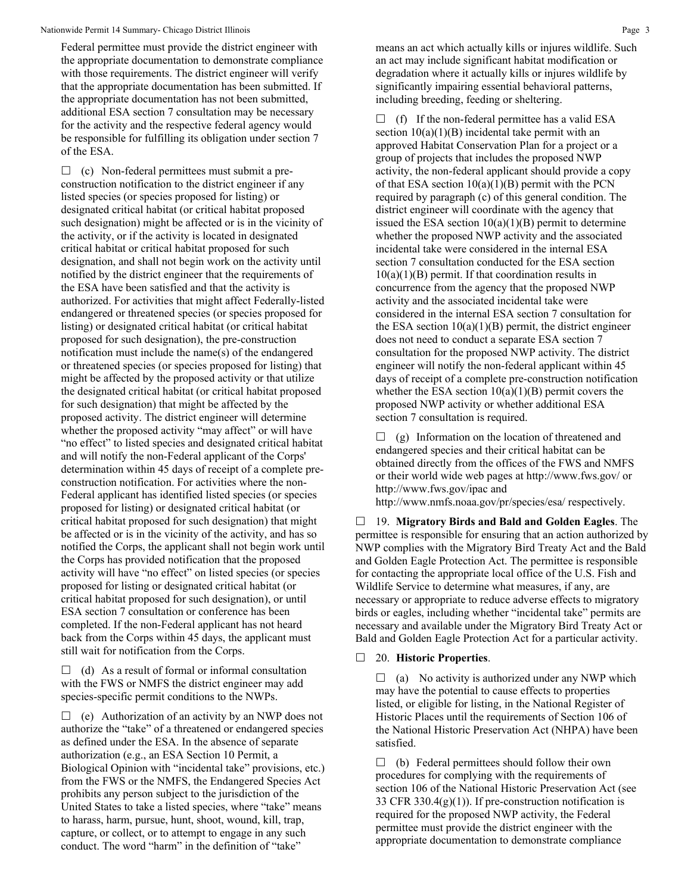Federal permittee must provide the district engineer with the appropriate documentation to demonstrate compliance with those requirements. The district engineer will verify that the appropriate documentation has been submitted. If the appropriate documentation has not been submitted, additional ESA section 7 consultation may be necessary for the activity and the respective federal agency would be responsible for fulfilling its obligation under section 7 of the ESA.

 $\Box$  (c) Non-federal permittees must submit a preconstruction notification to the district engineer if any listed species (or species proposed for listing) or designated critical habitat (or critical habitat proposed such designation) might be affected or is in the vicinity of the activity, or if the activity is located in designated critical habitat or critical habitat proposed for such designation, and shall not begin work on the activity until notified by the district engineer that the requirements of the ESA have been satisfied and that the activity is authorized. For activities that might affect Federally-listed endangered or threatened species (or species proposed for listing) or designated critical habitat (or critical habitat proposed for such designation), the pre-construction notification must include the name(s) of the endangered or threatened species (or species proposed for listing) that might be affected by the proposed activity or that utilize the designated critical habitat (or critical habitat proposed for such designation) that might be affected by the proposed activity. The district engineer will determine whether the proposed activity "may affect" or will have "no effect" to listed species and designated critical habitat and will notify the non-Federal applicant of the Corps' determination within 45 days of receipt of a complete preconstruction notification. For activities where the non-Federal applicant has identified listed species (or species proposed for listing) or designated critical habitat (or critical habitat proposed for such designation) that might be affected or is in the vicinity of the activity, and has so notified the Corps, the applicant shall not begin work until the Corps has provided notification that the proposed activity will have "no effect" on listed species (or species proposed for listing or designated critical habitat (or critical habitat proposed for such designation), or until ESA section 7 consultation or conference has been completed. If the non-Federal applicant has not heard back from the Corps within 45 days, the applicant must still wait for notification from the Corps.

 $\Box$  (d) As a result of formal or informal consultation with the FWS or NMFS the district engineer may add species-specific permit conditions to the NWPs.

 $\Box$  (e) Authorization of an activity by an NWP does not authorize the "take" of a threatened or endangered species as defined under the ESA. In the absence of separate authorization (e.g., an ESA Section 10 Permit, a Biological Opinion with "incidental take" provisions, etc.) from the FWS or the NMFS, the Endangered Species Act prohibits any person subject to the jurisdiction of the United States to take a listed species, where "take" means to harass, harm, pursue, hunt, shoot, wound, kill, trap, capture, or collect, or to attempt to engage in any such conduct. The word "harm" in the definition of "take"

means an act which actually kills or injures wildlife. Such an act may include significant habitat modification or degradation where it actually kills or injures wildlife by significantly impairing essential behavioral patterns, including breeding, feeding or sheltering.

 $\Box$  (f) If the non-federal permittee has a valid ESA section  $10(a)(1)(B)$  incidental take permit with an approved Habitat Conservation Plan for a project or a group of projects that includes the proposed NWP activity, the non-federal applicant should provide a copy of that ESA section  $10(a)(1)(B)$  permit with the PCN required by paragraph (c) of this general condition. The district engineer will coordinate with the agency that issued the ESA section  $10(a)(1)(B)$  permit to determine whether the proposed NWP activity and the associated incidental take were considered in the internal ESA section 7 consultation conducted for the ESA section  $10(a)(1)(B)$  permit. If that coordination results in concurrence from the agency that the proposed NWP activity and the associated incidental take were considered in the internal ESA section 7 consultation for the ESA section  $10(a)(1)(B)$  permit, the district engineer does not need to conduct a separate ESA section 7 consultation for the proposed NWP activity. The district engineer will notify the non-federal applicant within 45 days of receipt of a complete pre-construction notification whether the ESA section  $10(a)(1)(B)$  permit covers the proposed NWP activity or whether additional ESA section 7 consultation is required.

 $\Box$  (g) Information on the location of threatened and endangered species and their critical habitat can be obtained directly from the offices of the FWS and NMFS or their world wide web pages at http://www.fws.gov/ or http://www.fws.gov/ipac and http://www.nmfs.noaa.gov/pr/species/esa/ respectively.

 19. **Migratory Birds and Bald and Golden Eagles**. The permittee is responsible for ensuring that an action authorized by NWP complies with the Migratory Bird Treaty Act and the Bald and Golden Eagle Protection Act. The permittee is responsible for contacting the appropriate local office of the U.S. Fish and Wildlife Service to determine what measures, if any, are necessary or appropriate to reduce adverse effects to migratory birds or eagles, including whether "incidental take" permits are necessary and available under the Migratory Bird Treaty Act or Bald and Golden Eagle Protection Act for a particular activity.

## 20. **Historic Properties**.

 $\Box$  (a) No activity is authorized under any NWP which may have the potential to cause effects to properties listed, or eligible for listing, in the National Register of Historic Places until the requirements of Section 106 of the National Historic Preservation Act (NHPA) have been satisfied.

 $\Box$  (b) Federal permittees should follow their own procedures for complying with the requirements of section 106 of the National Historic Preservation Act (see 33 CFR 330.4 $(g)(1)$ ). If pre-construction notification is required for the proposed NWP activity, the Federal permittee must provide the district engineer with the appropriate documentation to demonstrate compliance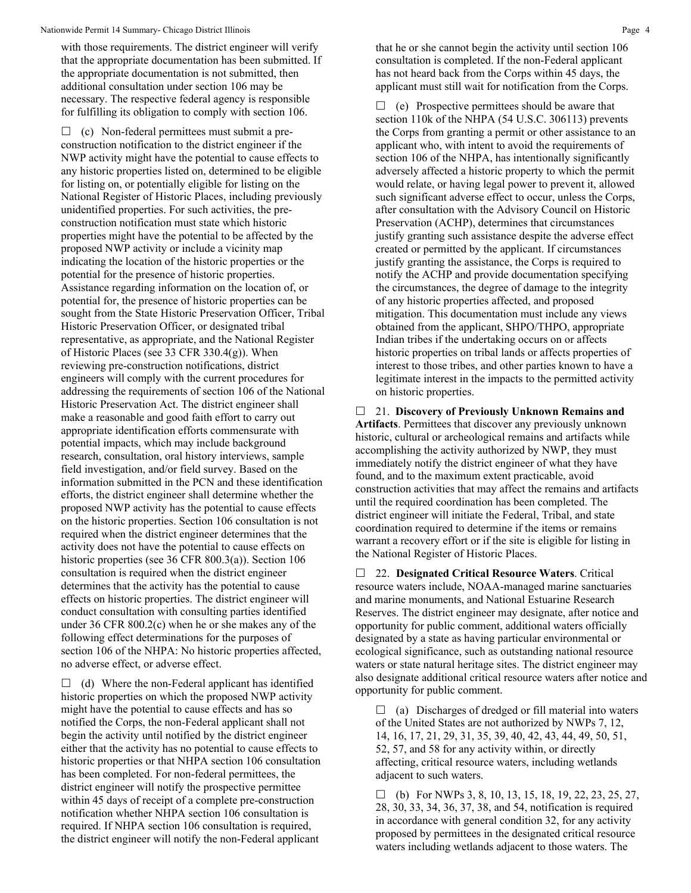with those requirements. The district engineer will verify that the appropriate documentation has been submitted. If the appropriate documentation is not submitted, then additional consultation under section 106 may be necessary. The respective federal agency is responsible for fulfilling its obligation to comply with section 106.

 $\Box$  (c) Non-federal permittees must submit a preconstruction notification to the district engineer if the NWP activity might have the potential to cause effects to any historic properties listed on, determined to be eligible for listing on, or potentially eligible for listing on the National Register of Historic Places, including previously unidentified properties. For such activities, the preconstruction notification must state which historic properties might have the potential to be affected by the proposed NWP activity or include a vicinity map indicating the location of the historic properties or the potential for the presence of historic properties. Assistance regarding information on the location of, or potential for, the presence of historic properties can be sought from the State Historic Preservation Officer, Tribal Historic Preservation Officer, or designated tribal representative, as appropriate, and the National Register of Historic Places (see 33 CFR 330.4(g)). When reviewing pre-construction notifications, district engineers will comply with the current procedures for addressing the requirements of section 106 of the National Historic Preservation Act. The district engineer shall make a reasonable and good faith effort to carry out appropriate identification efforts commensurate with potential impacts, which may include background research, consultation, oral history interviews, sample field investigation, and/or field survey. Based on the information submitted in the PCN and these identification efforts, the district engineer shall determine whether the proposed NWP activity has the potential to cause effects on the historic properties. Section 106 consultation is not required when the district engineer determines that the activity does not have the potential to cause effects on historic properties (see 36 CFR 800.3(a)). Section 106 consultation is required when the district engineer determines that the activity has the potential to cause effects on historic properties. The district engineer will conduct consultation with consulting parties identified under 36 CFR 800.2(c) when he or she makes any of the following effect determinations for the purposes of section 106 of the NHPA: No historic properties affected, no adverse effect, or adverse effect.

 $\Box$  (d) Where the non-Federal applicant has identified historic properties on which the proposed NWP activity might have the potential to cause effects and has so notified the Corps, the non-Federal applicant shall not begin the activity until notified by the district engineer either that the activity has no potential to cause effects to historic properties or that NHPA section 106 consultation has been completed. For non-federal permittees, the district engineer will notify the prospective permittee within 45 days of receipt of a complete pre-construction notification whether NHPA section 106 consultation is required. If NHPA section 106 consultation is required, the district engineer will notify the non-Federal applicant

that he or she cannot begin the activity until section 106 consultation is completed. If the non-Federal applicant has not heard back from the Corps within 45 days, the applicant must still wait for notification from the Corps.

 $\Box$  (e) Prospective permittees should be aware that section 110k of the NHPA (54 U.S.C. 306113) prevents the Corps from granting a permit or other assistance to an applicant who, with intent to avoid the requirements of section 106 of the NHPA, has intentionally significantly adversely affected a historic property to which the permit would relate, or having legal power to prevent it, allowed such significant adverse effect to occur, unless the Corps, after consultation with the Advisory Council on Historic Preservation (ACHP), determines that circumstances justify granting such assistance despite the adverse effect created or permitted by the applicant. If circumstances justify granting the assistance, the Corps is required to notify the ACHP and provide documentation specifying the circumstances, the degree of damage to the integrity of any historic properties affected, and proposed mitigation. This documentation must include any views obtained from the applicant, SHPO/THPO, appropriate Indian tribes if the undertaking occurs on or affects historic properties on tribal lands or affects properties of interest to those tribes, and other parties known to have a legitimate interest in the impacts to the permitted activity on historic properties.

 21. **Discovery of Previously Unknown Remains and Artifacts**. Permittees that discover any previously unknown historic, cultural or archeological remains and artifacts while accomplishing the activity authorized by NWP, they must immediately notify the district engineer of what they have found, and to the maximum extent practicable, avoid construction activities that may affect the remains and artifacts until the required coordination has been completed. The district engineer will initiate the Federal, Tribal, and state coordination required to determine if the items or remains warrant a recovery effort or if the site is eligible for listing in the National Register of Historic Places.

 22. **Designated Critical Resource Waters**. Critical resource waters include, NOAA-managed marine sanctuaries and marine monuments, and National Estuarine Research Reserves. The district engineer may designate, after notice and opportunity for public comment, additional waters officially designated by a state as having particular environmental or ecological significance, such as outstanding national resource waters or state natural heritage sites. The district engineer may also designate additional critical resource waters after notice and opportunity for public comment.

 $\Box$  (a) Discharges of dredged or fill material into waters of the United States are not authorized by NWPs 7, 12, 14, 16, 17, 21, 29, 31, 35, 39, 40, 42, 43, 44, 49, 50, 51, 52, 57, and 58 for any activity within, or directly affecting, critical resource waters, including wetlands adjacent to such waters.

 $\Box$  (b) For NWPs 3, 8, 10, 13, 15, 18, 19, 22, 23, 25, 27, 28, 30, 33, 34, 36, 37, 38, and 54, notification is required in accordance with general condition 32, for any activity proposed by permittees in the designated critical resource waters including wetlands adjacent to those waters. The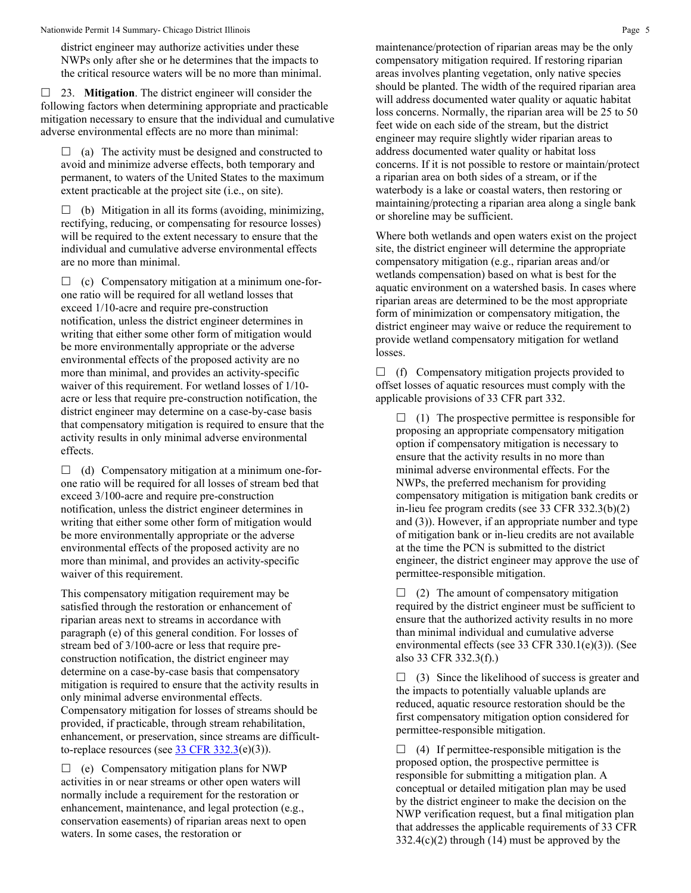district engineer may authorize activities under these NWPs only after she or he determines that the impacts to the critical resource waters will be no more than minimal.

 23. **Mitigation**. The district engineer will consider the following factors when determining appropriate and practicable mitigation necessary to ensure that the individual and cumulative adverse environmental effects are no more than minimal:

 $\Box$  (a) The activity must be designed and constructed to avoid and minimize adverse effects, both temporary and permanent, to waters of the United States to the maximum extent practicable at the project site (i.e., on site).

 $\Box$  (b) Mitigation in all its forms (avoiding, minimizing, rectifying, reducing, or compensating for resource losses) will be required to the extent necessary to ensure that the individual and cumulative adverse environmental effects are no more than minimal.

 $\Box$  (c) Compensatory mitigation at a minimum one-forone ratio will be required for all wetland losses that exceed 1/10-acre and require pre-construction notification, unless the district engineer determines in writing that either some other form of mitigation would be more environmentally appropriate or the adverse environmental effects of the proposed activity are no more than minimal, and provides an activity-specific waiver of this requirement. For wetland losses of 1/10 acre or less that require pre-construction notification, the district engineer may determine on a case-by-case basis that compensatory mitigation is required to ensure that the activity results in only minimal adverse environmental effects.

 $\Box$  (d) Compensatory mitigation at a minimum one-forone ratio will be required for all losses of stream bed that exceed 3/100-acre and require pre-construction notification, unless the district engineer determines in writing that either some other form of mitigation would be more environmentally appropriate or the adverse environmental effects of the proposed activity are no more than minimal, and provides an activity-specific waiver of this requirement.

This compensatory mitigation requirement may be satisfied through the restoration or enhancement of riparian areas next to streams in accordance with paragraph (e) of this general condition. For losses of stream bed of 3/100-acre or less that require preconstruction notification, the district engineer may determine on a case-by-case basis that compensatory mitigation is required to ensure that the activity results in only minimal adverse environmental effects. Compensatory mitigation for losses of streams should be provided, if practicable, through stream rehabilitation, enhancement, or preservation, since streams are difficultto-replace resources (see  $33 \text{ CFR } 332.3(e)(3)$ ).

 $\Box$  (e) Compensatory mitigation plans for NWP activities in or near streams or other open waters will normally include a requirement for the restoration or enhancement, maintenance, and legal protection (e.g., conservation easements) of riparian areas next to open waters. In some cases, the restoration or

maintenance/protection of riparian areas may be the only compensatory mitigation required. If restoring riparian areas involves planting vegetation, only native species should be planted. The width of the required riparian area will address documented water quality or aquatic habitat loss concerns. Normally, the riparian area will be 25 to 50 feet wide on each side of the stream, but the district engineer may require slightly wider riparian areas to address documented water quality or habitat loss concerns. If it is not possible to restore or maintain/protect a riparian area on both sides of a stream, or if the waterbody is a lake or coastal waters, then restoring or maintaining/protecting a riparian area along a single bank or shoreline may be sufficient.

Where both wetlands and open waters exist on the project site, the district engineer will determine the appropriate compensatory mitigation (e.g., riparian areas and/or wetlands compensation) based on what is best for the aquatic environment on a watershed basis. In cases where riparian areas are determined to be the most appropriate form of minimization or compensatory mitigation, the district engineer may waive or reduce the requirement to provide wetland compensatory mitigation for wetland losses.

 $\Box$  (f) Compensatory mitigation projects provided to offset losses of aquatic resources must comply with the applicable provisions of 33 CFR part 332.

 $\Box$  (1) The prospective permittee is responsible for proposing an appropriate compensatory mitigation option if compensatory mitigation is necessary to ensure that the activity results in no more than minimal adverse environmental effects. For the NWPs, the preferred mechanism for providing compensatory mitigation is mitigation bank credits or in-lieu fee program credits (see 33 CFR 332.3(b)(2) and (3)). However, if an appropriate number and type of mitigation bank or in-lieu credits are not available at the time the PCN is submitted to the district engineer, the district engineer may approve the use of permittee-responsible mitigation.

 $\Box$  (2) The amount of compensatory mitigation required by the district engineer must be sufficient to ensure that the authorized activity results in no more than minimal individual and cumulative adverse environmental effects (see 33 CFR 330.1(e)(3)). (See also 33 CFR 332.3(f).)

 $\Box$  (3) Since the likelihood of success is greater and the impacts to potentially valuable uplands are reduced, aquatic resource restoration should be the first compensatory mitigation option considered for permittee-responsible mitigation.

 $\Box$  (4) If permittee-responsible mitigation is the proposed option, the prospective permittee is responsible for submitting a mitigation plan. A conceptual or detailed mitigation plan may be used by the district engineer to make the decision on the NWP verification request, but a final mitigation plan that addresses the applicable requirements of 33 CFR  $332.4(c)(2)$  through (14) must be approved by the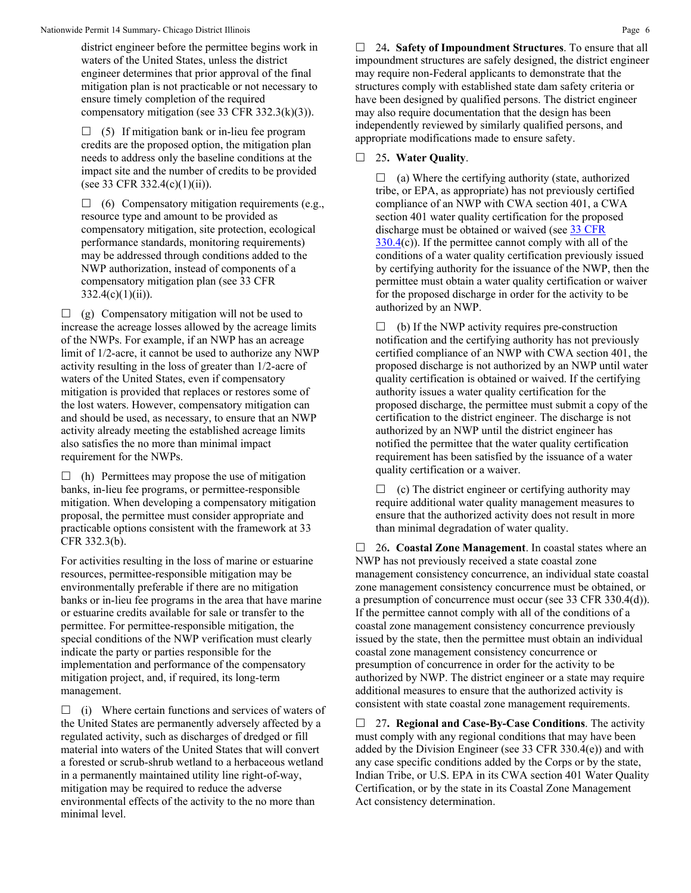district engineer before the permittee begins work in waters of the United States, unless the district engineer determines that prior approval of the final mitigation plan is not practicable or not necessary to ensure timely completion of the required compensatory mitigation (see 33 CFR 332.3(k)(3)).

 $\Box$  (5) If mitigation bank or in-lieu fee program credits are the proposed option, the mitigation plan needs to address only the baseline conditions at the impact site and the number of credits to be provided (see 33 CFR 332.4(c)(1)(ii)).

 $\Box$  (6) Compensatory mitigation requirements (e.g., resource type and amount to be provided as compensatory mitigation, site protection, ecological performance standards, monitoring requirements) may be addressed through conditions added to the NWP authorization, instead of components of a compensatory mitigation plan (see 33 CFR  $332.4(c)(1)(ii)$ .

 $\Box$  (g) Compensatory mitigation will not be used to increase the acreage losses allowed by the acreage limits of the NWPs. For example, if an NWP has an acreage limit of 1/2-acre, it cannot be used to authorize any NWP activity resulting in the loss of greater than 1/2-acre of waters of the United States, even if compensatory mitigation is provided that replaces or restores some of the lost waters. However, compensatory mitigation can and should be used, as necessary, to ensure that an NWP activity already meeting the established acreage limits also satisfies the no more than minimal impact requirement for the NWPs.

 $\Box$  (h) Permittees may propose the use of mitigation banks, in-lieu fee programs, or permittee-responsible mitigation. When developing a compensatory mitigation proposal, the permittee must consider appropriate and practicable options consistent with the framework at 33 CFR 332.3(b).

For activities resulting in the loss of marine or estuarine resources, permittee-responsible mitigation may be environmentally preferable if there are no mitigation banks or in-lieu fee programs in the area that have marine or estuarine credits available for sale or transfer to the permittee. For permittee-responsible mitigation, the special conditions of the NWP verification must clearly indicate the party or parties responsible for the implementation and performance of the compensatory mitigation project, and, if required, its long-term management.

 $\Box$  (i) Where certain functions and services of waters of the United States are permanently adversely affected by a regulated activity, such as discharges of dredged or fill material into waters of the United States that will convert a forested or scrub-shrub wetland to a herbaceous wetland in a permanently maintained utility line right-of-way, mitigation may be required to reduce the adverse environmental effects of the activity to the no more than minimal level.

 24**. Safety of Impoundment Structures**. To ensure that all impoundment structures are safely designed, the district engineer may require non-Federal applicants to demonstrate that the structures comply with established state dam safety criteria or have been designed by qualified persons. The district engineer may also require documentation that the design has been independently reviewed by similarly qualified persons, and appropriate modifications made to ensure safety.

## 25**. Water Quality**.

 $\Box$  (a) Where the certifying authority (state, authorized tribe, or EPA, as appropriate) has not previously certified compliance of an NWP with CWA section 401, a CWA section 401 water quality certification for the proposed discharge must be obtained or waived (see 33 CFR  $330.4(c)$  $330.4(c)$ ). If the permittee cannot comply with all of the conditions of a water quality certification previously issued by certifying authority for the issuance of the NWP, then the permittee must obtain a water quality certification or waiver for the proposed discharge in order for the activity to be authorized by an NWP.

 $\Box$  (b) If the NWP activity requires pre-construction notification and the certifying authority has not previously certified compliance of an NWP with CWA section 401, the proposed discharge is not authorized by an NWP until water quality certification is obtained or waived. If the certifying authority issues a water quality certification for the proposed discharge, the permittee must submit a copy of the certification to the district engineer. The discharge is not authorized by an NWP until the district engineer has notified the permittee that the water quality certification requirement has been satisfied by the issuance of a water quality certification or a waiver.

 $\Box$  (c) The district engineer or certifying authority may require additional water quality management measures to ensure that the authorized activity does not result in more than minimal degradation of water quality.

 26**. Coastal Zone Management**. In coastal states where an NWP has not previously received a state coastal zone management consistency concurrence, an individual state coastal zone management consistency concurrence must be obtained, or a presumption of concurrence must occur (see 33 CFR 330.4(d)). If the permittee cannot comply with all of the conditions of a coastal zone management consistency concurrence previously issued by the state, then the permittee must obtain an individual coastal zone management consistency concurrence or presumption of concurrence in order for the activity to be authorized by NWP. The district engineer or a state may require additional measures to ensure that the authorized activity is consistent with state coastal zone management requirements.

 27**. Regional and Case-By-Case Conditions**. The activity must comply with any regional conditions that may have been added by the Division Engineer (see 33 CFR 330.4(e)) and with any case specific conditions added by the Corps or by the state, Indian Tribe, or U.S. EPA in its CWA section 401 Water Quality Certification, or by the state in its Coastal Zone Management Act consistency determination.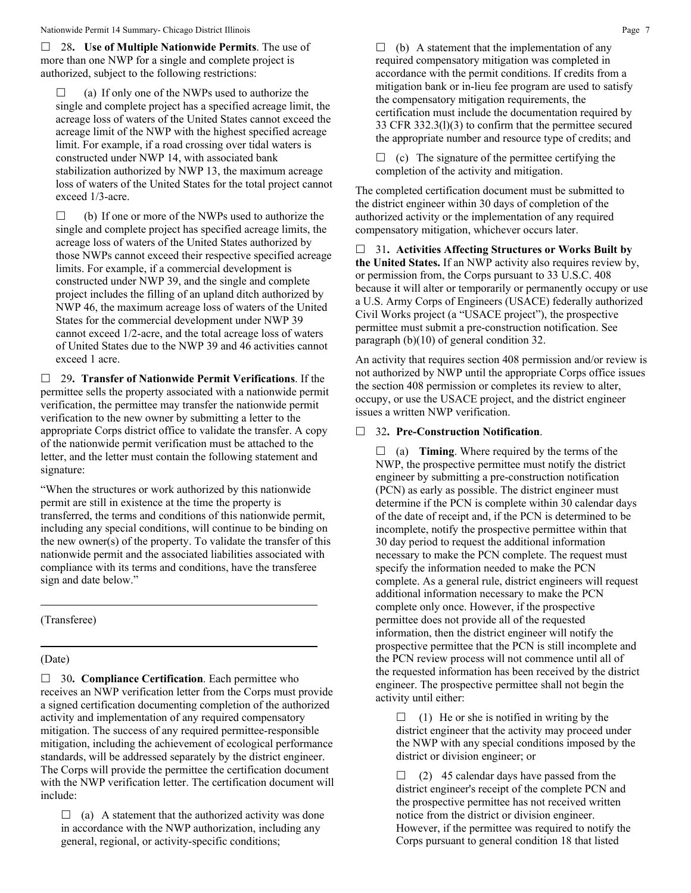28**. Use of Multiple Nationwide Permits**. The use of more than one NWP for a single and complete project is authorized, subject to the following restrictions:

 (a) If only one of the NWPs used to authorize the single and complete project has a specified acreage limit, the acreage loss of waters of the United States cannot exceed the acreage limit of the NWP with the highest specified acreage limit. For example, if a road crossing over tidal waters is constructed under NWP 14, with associated bank stabilization authorized by NWP 13, the maximum acreage loss of waters of the United States for the total project cannot exceed 1/3-acre.

 $\Box$  (b) If one or more of the NWPs used to authorize the single and complete project has specified acreage limits, the acreage loss of waters of the United States authorized by those NWPs cannot exceed their respective specified acreage limits. For example, if a commercial development is constructed under NWP 39, and the single and complete project includes the filling of an upland ditch authorized by NWP 46, the maximum acreage loss of waters of the United States for the commercial development under NWP 39 cannot exceed 1/2-acre, and the total acreage loss of waters of United States due to the NWP 39 and 46 activities cannot exceed 1 acre.

 29**. Transfer of Nationwide Permit Verifications**. If the permittee sells the property associated with a nationwide permit verification, the permittee may transfer the nationwide permit verification to the new owner by submitting a letter to the appropriate Corps district office to validate the transfer. A copy of the nationwide permit verification must be attached to the letter, and the letter must contain the following statement and signature:

"When the structures or work authorized by this nationwide permit are still in existence at the time the property is transferred, the terms and conditions of this nationwide permit, including any special conditions, will continue to be binding on the new owner(s) of the property. To validate the transfer of this nationwide permit and the associated liabilities associated with compliance with its terms and conditions, have the transferee sign and date below."

(Transferee)

## (Date)

□ 30. **Compliance Certification**. Each permittee who receives an NWP verification letter from the Corps must provide a signed certification documenting completion of the authorized activity and implementation of any required compensatory mitigation. The success of any required permittee-responsible mitigation, including the achievement of ecological performance standards, will be addressed separately by the district engineer. The Corps will provide the permittee the certification document with the NWP verification letter. The certification document will include:

 $\Box$  (a) A statement that the authorized activity was done in accordance with the NWP authorization, including any general, regional, or activity-specific conditions;

accordance with the permit conditions. If credits from a mitigation bank or in-lieu fee program are used to satisfy the compensatory mitigation requirements, the certification must include the documentation required by 33 CFR 332.3(l)(3) to confirm that the permittee secured the appropriate number and resource type of credits; and

 $\Box$  (c) The signature of the permittee certifying the completion of the activity and mitigation.

The completed certification document must be submitted to the district engineer within 30 days of completion of the authorized activity or the implementation of any required compensatory mitigation, whichever occurs later.

 31**. Activities Affecting Structures or Works Built by the United States.** If an NWP activity also requires review by, or permission from, the Corps pursuant to 33 U.S.C. 408 because it will alter or temporarily or permanently occupy or use a U.S. Army Corps of Engineers (USACE) federally authorized Civil Works project (a "USACE project"), the prospective permittee must submit a pre-construction notification. See paragraph (b)(10) of general condition 32.

An activity that requires section 408 permission and/or review is not authorized by NWP until the appropriate Corps office issues the section 408 permission or completes its review to alter, occupy, or use the USACE project, and the district engineer issues a written NWP verification.

#### 32**. Pre-Construction Notification**.

 $\Box$  (a) **Timing**. Where required by the terms of the NWP, the prospective permittee must notify the district engineer by submitting a pre-construction notification (PCN) as early as possible. The district engineer must determine if the PCN is complete within 30 calendar days of the date of receipt and, if the PCN is determined to be incomplete, notify the prospective permittee within that 30 day period to request the additional information necessary to make the PCN complete. The request must specify the information needed to make the PCN complete. As a general rule, district engineers will request additional information necessary to make the PCN complete only once. However, if the prospective permittee does not provide all of the requested information, then the district engineer will notify the prospective permittee that the PCN is still incomplete and the PCN review process will not commence until all of the requested information has been received by the district engineer. The prospective permittee shall not begin the activity until either:

 $\Box$  (1) He or she is notified in writing by the district engineer that the activity may proceed under the NWP with any special conditions imposed by the district or division engineer; or

 $\Box$  (2) 45 calendar days have passed from the district engineer's receipt of the complete PCN and the prospective permittee has not received written notice from the district or division engineer. However, if the permittee was required to notify the Corps pursuant to general condition 18 that listed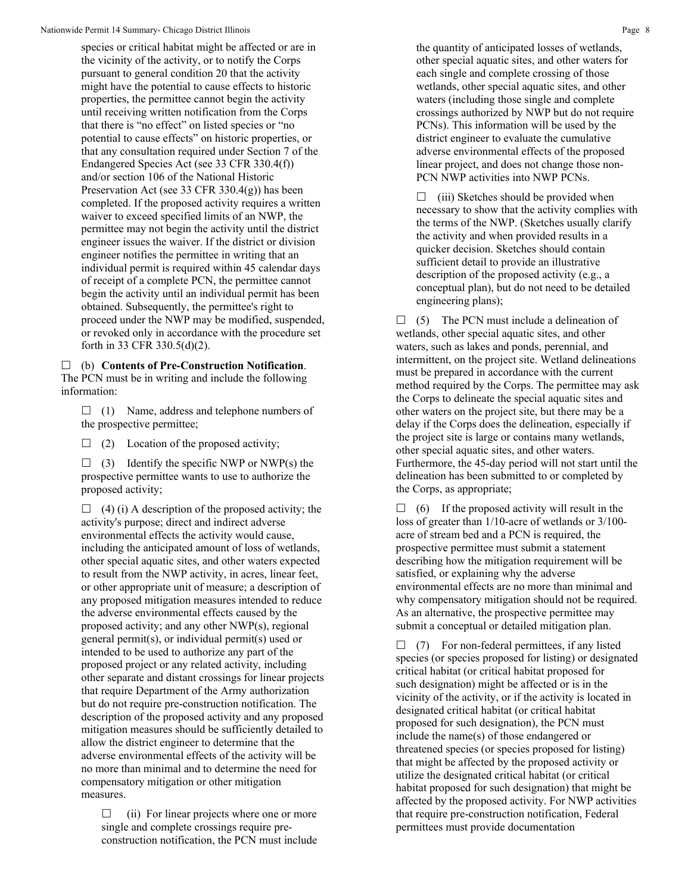species or critical habitat might be affected or are in the vicinity of the activity, or to notify the Corps pursuant to general condition 20 that the activity might have the potential to cause effects to historic properties, the permittee cannot begin the activity until receiving written notification from the Corps that there is "no effect" on listed species or "no potential to cause effects" on historic properties, or that any consultation required under Section 7 of the Endangered Species Act (see 33 CFR 330.4(f)) and/or section 106 of the National Historic Preservation Act (see 33 CFR 330.4(g)) has been completed. If the proposed activity requires a written waiver to exceed specified limits of an NWP, the permittee may not begin the activity until the district engineer issues the waiver. If the district or division engineer notifies the permittee in writing that an individual permit is required within 45 calendar days of receipt of a complete PCN, the permittee cannot begin the activity until an individual permit has been obtained. Subsequently, the permittee's right to proceed under the NWP may be modified, suspended, or revoked only in accordance with the procedure set forth in 33 CFR 330.5(d)(2).

 (b) **Contents of Pre-Construction Notification**. The PCN must be in writing and include the following information:

 $\Box$  (1) Name, address and telephone numbers of the prospective permittee;

 $\Box$  (2) Location of the proposed activity;

 $\Box$  (3) Identify the specific NWP or NWP(s) the prospective permittee wants to use to authorize the proposed activity;

 $\Box$  (4) (i) A description of the proposed activity; the activity's purpose; direct and indirect adverse environmental effects the activity would cause, including the anticipated amount of loss of wetlands, other special aquatic sites, and other waters expected to result from the NWP activity, in acres, linear feet, or other appropriate unit of measure; a description of any proposed mitigation measures intended to reduce the adverse environmental effects caused by the proposed activity; and any other NWP(s), regional general permit(s), or individual permit(s) used or intended to be used to authorize any part of the proposed project or any related activity, including other separate and distant crossings for linear projects that require Department of the Army authorization but do not require pre-construction notification. The description of the proposed activity and any proposed mitigation measures should be sufficiently detailed to allow the district engineer to determine that the adverse environmental effects of the activity will be no more than minimal and to determine the need for compensatory mitigation or other mitigation measures.

 $\Box$  (ii) For linear projects where one or more single and complete crossings require preconstruction notification, the PCN must include the quantity of anticipated losses of wetlands, other special aquatic sites, and other waters for each single and complete crossing of those wetlands, other special aquatic sites, and other waters (including those single and complete crossings authorized by NWP but do not require PCNs). This information will be used by the district engineer to evaluate the cumulative adverse environmental effects of the proposed linear project, and does not change those non-PCN NWP activities into NWP PCNs.

 $\Box$  (iii) Sketches should be provided when necessary to show that the activity complies with the terms of the NWP. (Sketches usually clarify the activity and when provided results in a quicker decision. Sketches should contain sufficient detail to provide an illustrative description of the proposed activity (e.g., a conceptual plan), but do not need to be detailed engineering plans);

 $\Box$  (5) The PCN must include a delineation of wetlands, other special aquatic sites, and other waters, such as lakes and ponds, perennial, and intermittent, on the project site. Wetland delineations must be prepared in accordance with the current method required by the Corps. The permittee may ask the Corps to delineate the special aquatic sites and other waters on the project site, but there may be a delay if the Corps does the delineation, especially if the project site is large or contains many wetlands, other special aquatic sites, and other waters. Furthermore, the 45-day period will not start until the delineation has been submitted to or completed by the Corps, as appropriate;

 $\Box$  (6) If the proposed activity will result in the loss of greater than 1/10-acre of wetlands or 3/100 acre of stream bed and a PCN is required, the prospective permittee must submit a statement describing how the mitigation requirement will be satisfied, or explaining why the adverse environmental effects are no more than minimal and why compensatory mitigation should not be required. As an alternative, the prospective permittee may submit a conceptual or detailed mitigation plan.

 $\Box$  (7) For non-federal permittees, if any listed species (or species proposed for listing) or designated critical habitat (or critical habitat proposed for such designation) might be affected or is in the vicinity of the activity, or if the activity is located in designated critical habitat (or critical habitat proposed for such designation), the PCN must include the name(s) of those endangered or threatened species (or species proposed for listing) that might be affected by the proposed activity or utilize the designated critical habitat (or critical habitat proposed for such designation) that might be affected by the proposed activity. For NWP activities that require pre-construction notification, Federal permittees must provide documentation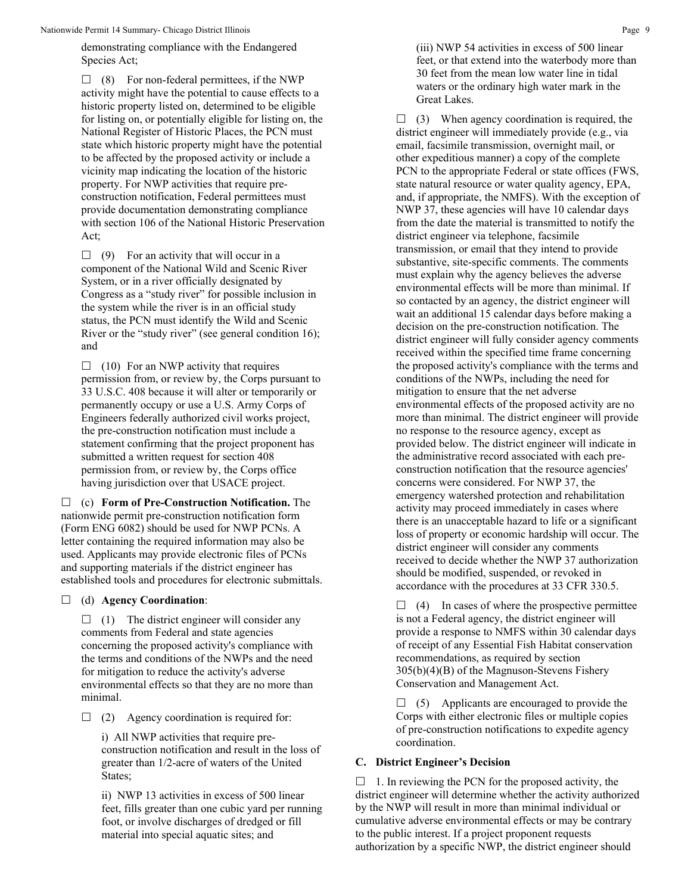demonstrating compliance with the Endangered Species Act;

 $\Box$  (8) For non-federal permittees, if the NWP activity might have the potential to cause effects to a historic property listed on, determined to be eligible for listing on, or potentially eligible for listing on, the National Register of Historic Places, the PCN must state which historic property might have the potential to be affected by the proposed activity or include a vicinity map indicating the location of the historic property. For NWP activities that require preconstruction notification, Federal permittees must provide documentation demonstrating compliance with section 106 of the National Historic Preservation Act;

 $\Box$  (9) For an activity that will occur in a component of the National Wild and Scenic River System, or in a river officially designated by Congress as a "study river" for possible inclusion in the system while the river is in an official study status, the PCN must identify the Wild and Scenic River or the "study river" (see general condition 16); and

 $\Box$  (10) For an NWP activity that requires permission from, or review by, the Corps pursuant to 33 U.S.C. 408 because it will alter or temporarily or permanently occupy or use a U.S. Army Corps of Engineers federally authorized civil works project, the pre-construction notification must include a statement confirming that the project proponent has submitted a written request for section 408 permission from, or review by, the Corps office having jurisdiction over that USACE project.

 (c) **Form of Pre-Construction Notification.** The nationwide permit pre-construction notification form (Form ENG 6082) should be used for NWP PCNs. A letter containing the required information may also be used. Applicants may provide electronic files of PCNs and supporting materials if the district engineer has established tools and procedures for electronic submittals.

# (d) **Agency Coordination**:

 $\Box$  (1) The district engineer will consider any comments from Federal and state agencies concerning the proposed activity's compliance with the terms and conditions of the NWPs and the need for mitigation to reduce the activity's adverse environmental effects so that they are no more than minimal.

 $\Box$  (2) Agency coordination is required for:

i) All NWP activities that require preconstruction notification and result in the loss of greater than 1/2-acre of waters of the United States;

ii) NWP 13 activities in excess of 500 linear feet, fills greater than one cubic yard per running foot, or involve discharges of dredged or fill material into special aquatic sites; and

(iii) NWP 54 activities in excess of 500 linear feet, or that extend into the waterbody more than 30 feet from the mean low water line in tidal waters or the ordinary high water mark in the Great Lakes.

 $\Box$  (3) When agency coordination is required, the district engineer will immediately provide (e.g., via email, facsimile transmission, overnight mail, or other expeditious manner) a copy of the complete PCN to the appropriate Federal or state offices (FWS, state natural resource or water quality agency, EPA, and, if appropriate, the NMFS). With the exception of NWP 37, these agencies will have 10 calendar days from the date the material is transmitted to notify the district engineer via telephone, facsimile transmission, or email that they intend to provide substantive, site-specific comments. The comments must explain why the agency believes the adverse environmental effects will be more than minimal. If so contacted by an agency, the district engineer will wait an additional 15 calendar days before making a decision on the pre-construction notification. The district engineer will fully consider agency comments received within the specified time frame concerning the proposed activity's compliance with the terms and conditions of the NWPs, including the need for mitigation to ensure that the net adverse environmental effects of the proposed activity are no more than minimal. The district engineer will provide no response to the resource agency, except as provided below. The district engineer will indicate in the administrative record associated with each preconstruction notification that the resource agencies' concerns were considered. For NWP 37, the emergency watershed protection and rehabilitation activity may proceed immediately in cases where there is an unacceptable hazard to life or a significant loss of property or economic hardship will occur. The district engineer will consider any comments received to decide whether the NWP 37 authorization should be modified, suspended, or revoked in accordance with the procedures at 33 CFR 330.5.

 $\Box$  (4) In cases of where the prospective permittee is not a Federal agency, the district engineer will provide a response to NMFS within 30 calendar days of receipt of any Essential Fish Habitat conservation recommendations, as required by section 305(b)(4)(B) of the Magnuson-Stevens Fishery Conservation and Management Act.

 $\Box$  (5) Applicants are encouraged to provide the Corps with either electronic files or multiple copies of pre-construction notifications to expedite agency coordination.

# **C. District Engineer's Decision**

 $\Box$  1. In reviewing the PCN for the proposed activity, the district engineer will determine whether the activity authorized by the NWP will result in more than minimal individual or cumulative adverse environmental effects or may be contrary to the public interest. If a project proponent requests authorization by a specific NWP, the district engineer should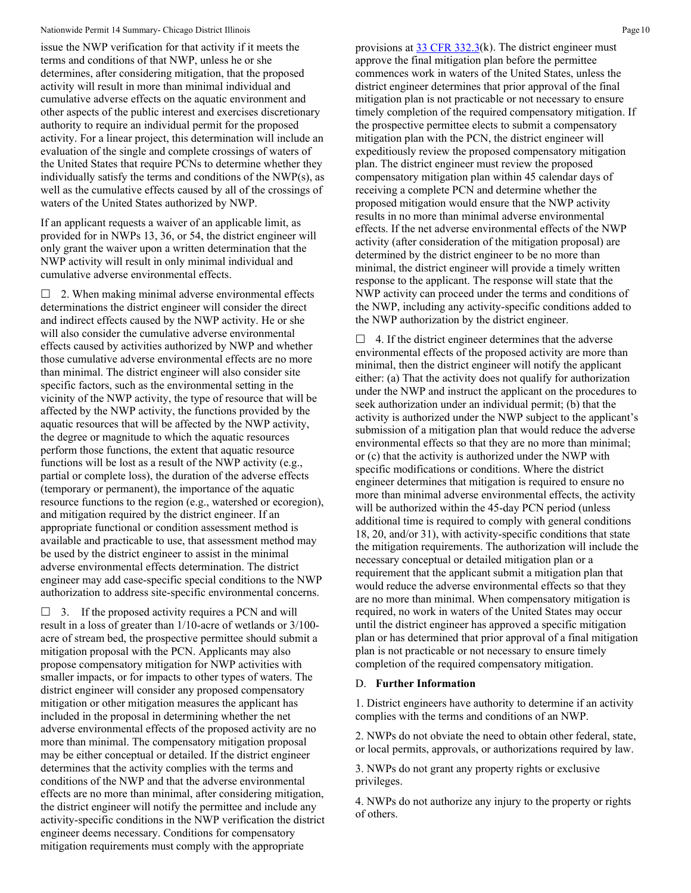issue the NWP verification for that activity if it meets the terms and conditions of that NWP, unless he or she determines, after considering mitigation, that the proposed activity will result in more than minimal individual and cumulative adverse effects on the aquatic environment and other aspects of the public interest and exercises discretionary authority to require an individual permit for the proposed activity. For a linear project, this determination will include an evaluation of the single and complete crossings of waters of the United States that require PCNs to determine whether they individually satisfy the terms and conditions of the NWP(s), as well as the cumulative effects caused by all of the crossings of waters of the United States authorized by NWP.

If an applicant requests a waiver of an applicable limit, as provided for in NWPs 13, 36, or 54, the district engineer will only grant the waiver upon a written determination that the NWP activity will result in only minimal individual and cumulative adverse environmental effects.

 $\Box$  2. When making minimal adverse environmental effects determinations the district engineer will consider the direct and indirect effects caused by the NWP activity. He or she will also consider the cumulative adverse environmental effects caused by activities authorized by NWP and whether those cumulative adverse environmental effects are no more than minimal. The district engineer will also consider site specific factors, such as the environmental setting in the vicinity of the NWP activity, the type of resource that will be affected by the NWP activity, the functions provided by the aquatic resources that will be affected by the NWP activity, the degree or magnitude to which the aquatic resources perform those functions, the extent that aquatic resource functions will be lost as a result of the NWP activity (e.g., partial or complete loss), the duration of the adverse effects (temporary or permanent), the importance of the aquatic resource functions to the region (e.g., watershed or ecoregion), and mitigation required by the district engineer. If an appropriate functional or condition assessment method is available and practicable to use, that assessment method may be used by the district engineer to assist in the minimal adverse environmental effects determination. The district engineer may add case-specific special conditions to the NWP authorization to address site-specific environmental concerns.

 $\Box$  3. If the proposed activity requires a PCN and will result in a loss of greater than 1/10-acre of wetlands or 3/100 acre of stream bed, the prospective permittee should submit a mitigation proposal with the PCN. Applicants may also propose compensatory mitigation for NWP activities with smaller impacts, or for impacts to other types of waters. The district engineer will consider any proposed compensatory mitigation or other mitigation measures the applicant has included in the proposal in determining whether the net adverse environmental effects of the proposed activity are no more than minimal. The compensatory mitigation proposal may be either conceptual or detailed. If the district engineer determines that the activity complies with the terms and conditions of the NWP and that the adverse environmental effects are no more than minimal, after considering mitigation, the district engineer will notify the permittee and include any activity-specific conditions in the NWP verification the district engineer deems necessary. Conditions for compensatory mitigation requirements must comply with the appropriate

provisions at  $33$  CFR  $332.3(k)$ . The district engineer must approve the final mitigation plan before the permittee commences work in waters of the United States, unless the district engineer determines that prior approval of the final mitigation plan is not practicable or not necessary to ensure timely completion of the required compensatory mitigation. If the prospective permittee elects to submit a compensatory mitigation plan with the PCN, the district engineer will expeditiously review the proposed compensatory mitigation plan. The district engineer must review the proposed compensatory mitigation plan within 45 calendar days of receiving a complete PCN and determine whether the proposed mitigation would ensure that the NWP activity results in no more than minimal adverse environmental effects. If the net adverse environmental effects of the NWP activity (after consideration of the mitigation proposal) are determined by the district engineer to be no more than minimal, the district engineer will provide a timely written response to the applicant. The response will state that the NWP activity can proceed under the terms and conditions of the NWP, including any activity-specific conditions added to the NWP authorization by the district engineer.

 $\Box$  4. If the district engineer determines that the adverse environmental effects of the proposed activity are more than minimal, then the district engineer will notify the applicant either: (a) That the activity does not qualify for authorization under the NWP and instruct the applicant on the procedures to seek authorization under an individual permit; (b) that the activity is authorized under the NWP subject to the applicant's submission of a mitigation plan that would reduce the adverse environmental effects so that they are no more than minimal; or (c) that the activity is authorized under the NWP with specific modifications or conditions. Where the district engineer determines that mitigation is required to ensure no more than minimal adverse environmental effects, the activity will be authorized within the 45-day PCN period (unless additional time is required to comply with general conditions 18, 20, and/or 31), with activity-specific conditions that state the mitigation requirements. The authorization will include the necessary conceptual or detailed mitigation plan or a requirement that the applicant submit a mitigation plan that would reduce the adverse environmental effects so that they are no more than minimal. When compensatory mitigation is required, no work in waters of the United States may occur until the district engineer has approved a specific mitigation plan or has determined that prior approval of a final mitigation plan is not practicable or not necessary to ensure timely completion of the required compensatory mitigation.

#### D. **Further Information**

1. District engineers have authority to determine if an activity complies with the terms and conditions of an NWP.

2. NWPs do not obviate the need to obtain other federal, state, or local permits, approvals, or authorizations required by law.

3. NWPs do not grant any property rights or exclusive privileges.

4. NWPs do not authorize any injury to the property or rights of others.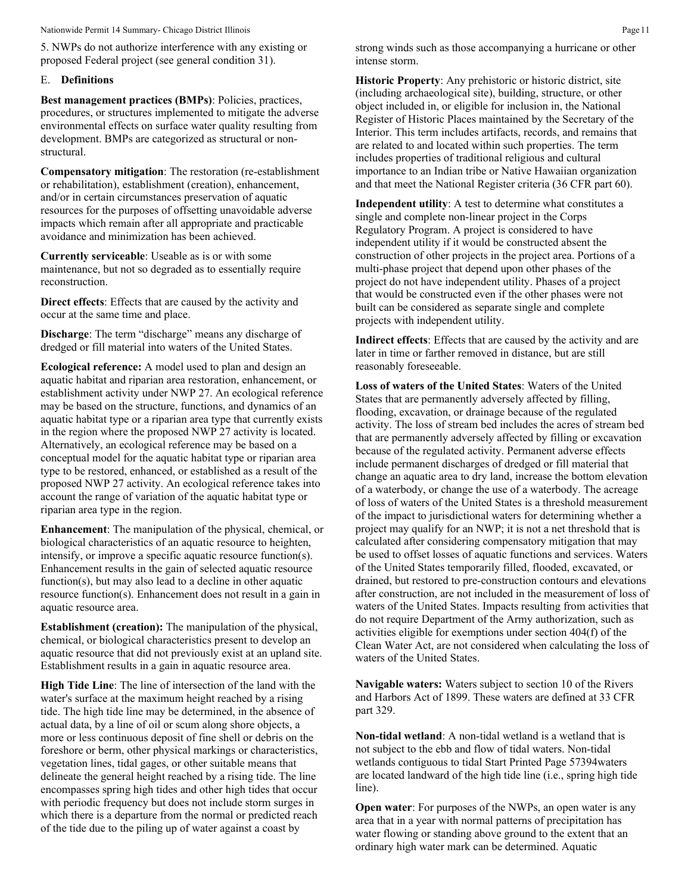5. NWPs do not authorize interference with any existing or proposed Federal project (see general condition 31).

# E. **Definitions**

**Best management practices (BMPs)**: Policies, practices, procedures, or structures implemented to mitigate the adverse environmental effects on surface water quality resulting from development. BMPs are categorized as structural or nonstructural.

**Compensatory mitigation**: The restoration (re-establishment or rehabilitation), establishment (creation), enhancement, and/or in certain circumstances preservation of aquatic resources for the purposes of offsetting unavoidable adverse impacts which remain after all appropriate and practicable avoidance and minimization has been achieved.

**Currently serviceable**: Useable as is or with some maintenance, but not so degraded as to essentially require reconstruction.

**Direct effects**: Effects that are caused by the activity and occur at the same time and place.

**Discharge**: The term "discharge" means any discharge of dredged or fill material into waters of the United States.

**Ecological reference:** A model used to plan and design an aquatic habitat and riparian area restoration, enhancement, or establishment activity under NWP 27. An ecological reference may be based on the structure, functions, and dynamics of an aquatic habitat type or a riparian area type that currently exists in the region where the proposed NWP 27 activity is located. Alternatively, an ecological reference may be based on a conceptual model for the aquatic habitat type or riparian area type to be restored, enhanced, or established as a result of the proposed NWP 27 activity. An ecological reference takes into account the range of variation of the aquatic habitat type or riparian area type in the region.

**Enhancement**: The manipulation of the physical, chemical, or biological characteristics of an aquatic resource to heighten, intensify, or improve a specific aquatic resource function(s). Enhancement results in the gain of selected aquatic resource function(s), but may also lead to a decline in other aquatic resource function(s). Enhancement does not result in a gain in aquatic resource area.

**Establishment (creation):** The manipulation of the physical, chemical, or biological characteristics present to develop an aquatic resource that did not previously exist at an upland site. Establishment results in a gain in aquatic resource area.

**High Tide Line**: The line of intersection of the land with the water's surface at the maximum height reached by a rising tide. The high tide line may be determined, in the absence of actual data, by a line of oil or scum along shore objects, a more or less continuous deposit of fine shell or debris on the foreshore or berm, other physical markings or characteristics, vegetation lines, tidal gages, or other suitable means that delineate the general height reached by a rising tide. The line encompasses spring high tides and other high tides that occur with periodic frequency but does not include storm surges in which there is a departure from the normal or predicted reach of the tide due to the piling up of water against a coast by

strong winds such as those accompanying a hurricane or other intense storm.

**Historic Property**: Any prehistoric or historic district, site (including archaeological site), building, structure, or other object included in, or eligible for inclusion in, the National Register of Historic Places maintained by the Secretary of the Interior. This term includes artifacts, records, and remains that are related to and located within such properties. The term includes properties of traditional religious and cultural importance to an Indian tribe or Native Hawaiian organization and that meet the National Register criteria (36 CFR part 60).

**Independent utility**: A test to determine what constitutes a single and complete non-linear project in the Corps Regulatory Program. A project is considered to have independent utility if it would be constructed absent the construction of other projects in the project area. Portions of a multi-phase project that depend upon other phases of the project do not have independent utility. Phases of a project that would be constructed even if the other phases were not built can be considered as separate single and complete projects with independent utility.

**Indirect effects**: Effects that are caused by the activity and are later in time or farther removed in distance, but are still reasonably foreseeable.

**Loss of waters of the United States**: Waters of the United States that are permanently adversely affected by filling, flooding, excavation, or drainage because of the regulated activity. The loss of stream bed includes the acres of stream bed that are permanently adversely affected by filling or excavation because of the regulated activity. Permanent adverse effects include permanent discharges of dredged or fill material that change an aquatic area to dry land, increase the bottom elevation of a waterbody, or change the use of a waterbody. The acreage of loss of waters of the United States is a threshold measurement of the impact to jurisdictional waters for determining whether a project may qualify for an NWP; it is not a net threshold that is calculated after considering compensatory mitigation that may be used to offset losses of aquatic functions and services. Waters of the United States temporarily filled, flooded, excavated, or drained, but restored to pre-construction contours and elevations after construction, are not included in the measurement of loss of waters of the United States. Impacts resulting from activities that do not require Department of the Army authorization, such as activities eligible for exemptions under section 404(f) of the Clean Water Act, are not considered when calculating the loss of waters of the United States.

**Navigable waters:** Waters subject to section 10 of the Rivers and Harbors Act of 1899. These waters are defined at 33 CFR part 329.

**Non-tidal wetland**: A non-tidal wetland is a wetland that is not subject to the ebb and flow of tidal waters. Non-tidal wetlands contiguous to tidal Start Printed Page 57394waters are located landward of the high tide line (i.e., spring high tide line).

**Open water:** For purposes of the NWPs, an open water is any area that in a year with normal patterns of precipitation has water flowing or standing above ground to the extent that an ordinary high water mark can be determined. Aquatic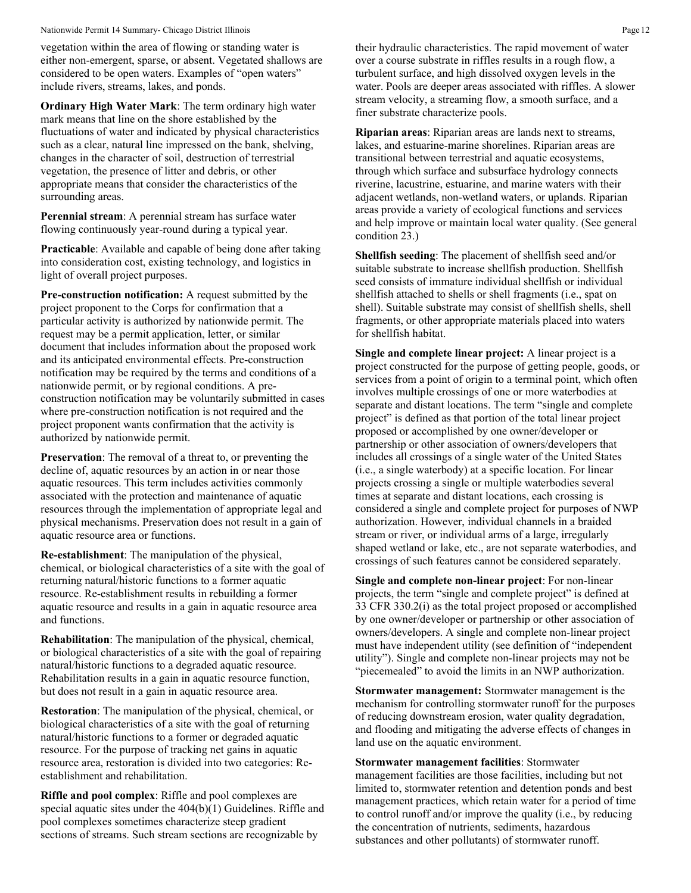vegetation within the area of flowing or standing water is either non-emergent, sparse, or absent. Vegetated shallows are considered to be open waters. Examples of "open waters" include rivers, streams, lakes, and ponds.

**Ordinary High Water Mark**: The term ordinary high water mark means that line on the shore established by the fluctuations of water and indicated by physical characteristics such as a clear, natural line impressed on the bank, shelving, changes in the character of soil, destruction of terrestrial vegetation, the presence of litter and debris, or other appropriate means that consider the characteristics of the surrounding areas.

**Perennial stream**: A perennial stream has surface water flowing continuously year-round during a typical year.

**Practicable**: Available and capable of being done after taking into consideration cost, existing technology, and logistics in light of overall project purposes.

**Pre-construction notification:** A request submitted by the project proponent to the Corps for confirmation that a particular activity is authorized by nationwide permit. The request may be a permit application, letter, or similar document that includes information about the proposed work and its anticipated environmental effects. Pre-construction notification may be required by the terms and conditions of a nationwide permit, or by regional conditions. A preconstruction notification may be voluntarily submitted in cases where pre-construction notification is not required and the project proponent wants confirmation that the activity is authorized by nationwide permit.

**Preservation**: The removal of a threat to, or preventing the decline of, aquatic resources by an action in or near those aquatic resources. This term includes activities commonly associated with the protection and maintenance of aquatic resources through the implementation of appropriate legal and physical mechanisms. Preservation does not result in a gain of aquatic resource area or functions.

**Re-establishment**: The manipulation of the physical, chemical, or biological characteristics of a site with the goal of returning natural/historic functions to a former aquatic resource. Re-establishment results in rebuilding a former aquatic resource and results in a gain in aquatic resource area and functions.

**Rehabilitation**: The manipulation of the physical, chemical, or biological characteristics of a site with the goal of repairing natural/historic functions to a degraded aquatic resource. Rehabilitation results in a gain in aquatic resource function, but does not result in a gain in aquatic resource area.

**Restoration**: The manipulation of the physical, chemical, or biological characteristics of a site with the goal of returning natural/historic functions to a former or degraded aquatic resource. For the purpose of tracking net gains in aquatic resource area, restoration is divided into two categories: Reestablishment and rehabilitation.

**Riffle and pool complex**: Riffle and pool complexes are special aquatic sites under the 404(b)(1) Guidelines. Riffle and pool complexes sometimes characterize steep gradient sections of streams. Such stream sections are recognizable by

their hydraulic characteristics. The rapid movement of water over a course substrate in riffles results in a rough flow, a turbulent surface, and high dissolved oxygen levels in the water. Pools are deeper areas associated with riffles. A slower stream velocity, a streaming flow, a smooth surface, and a finer substrate characterize pools.

**Riparian areas**: Riparian areas are lands next to streams, lakes, and estuarine-marine shorelines. Riparian areas are transitional between terrestrial and aquatic ecosystems, through which surface and subsurface hydrology connects riverine, lacustrine, estuarine, and marine waters with their adjacent wetlands, non-wetland waters, or uplands. Riparian areas provide a variety of ecological functions and services and help improve or maintain local water quality. (See general condition 23.)

**Shellfish seeding**: The placement of shellfish seed and/or suitable substrate to increase shellfish production. Shellfish seed consists of immature individual shellfish or individual shellfish attached to shells or shell fragments (i.e., spat on shell). Suitable substrate may consist of shellfish shells, shell fragments, or other appropriate materials placed into waters for shellfish habitat.

**Single and complete linear project:** A linear project is a project constructed for the purpose of getting people, goods, or services from a point of origin to a terminal point, which often involves multiple crossings of one or more waterbodies at separate and distant locations. The term "single and complete project" is defined as that portion of the total linear project proposed or accomplished by one owner/developer or partnership or other association of owners/developers that includes all crossings of a single water of the United States (i.e., a single waterbody) at a specific location. For linear projects crossing a single or multiple waterbodies several times at separate and distant locations, each crossing is considered a single and complete project for purposes of NWP authorization. However, individual channels in a braided stream or river, or individual arms of a large, irregularly shaped wetland or lake, etc., are not separate waterbodies, and crossings of such features cannot be considered separately.

**Single and complete non-linear project**: For non-linear projects, the term "single and complete project" is defined at 33 CFR 330.2(i) as the total project proposed or accomplished by one owner/developer or partnership or other association of owners/developers. A single and complete non-linear project must have independent utility (see definition of "independent utility"). Single and complete non-linear projects may not be "piecemealed" to avoid the limits in an NWP authorization.

**Stormwater management:** Stormwater management is the mechanism for controlling stormwater runoff for the purposes of reducing downstream erosion, water quality degradation, and flooding and mitigating the adverse effects of changes in land use on the aquatic environment.

**Stormwater management facilities**: Stormwater management facilities are those facilities, including but not limited to, stormwater retention and detention ponds and best management practices, which retain water for a period of time to control runoff and/or improve the quality (i.e., by reducing the concentration of nutrients, sediments, hazardous substances and other pollutants) of stormwater runoff.